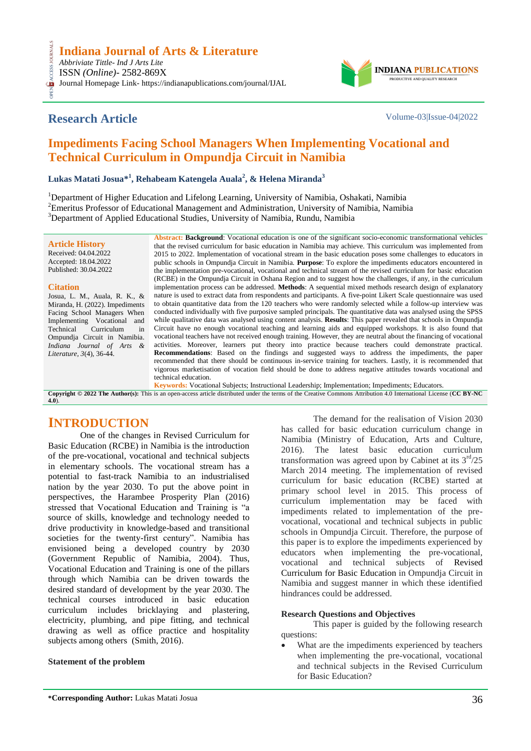# **Research Article** Volume-03|Issue-04|2022

CESS.

**INDIANA** PRODUCTIVE AND QUALITY RESEARCH

# **Impediments Facing School Managers When Implementing Vocational and Technical Curriculum in Ompundja Circuit in Namibia**

 $\mathbf{L}$ ukas Matati Josua $^{*1}$ , Rehabeam Katengela Auala $^{2}$ , & Helena Miranda $^{3}$ 

<sup>1</sup>Department of Higher Education and Lifelong Learning, University of Namibia, Oshakati, Namibia <sup>2</sup>Emeritus Professor of Educational Management and Administration, University of Namibia, Namibia <sup>3</sup>Department of Applied Educational Studies, University of Namibia, Rundu, Namibia

**Article History** Received: 04.04.2022 Accepted: 18.04.2022 Published: 30.04.2022

#### **Citation**

**[4.0](https://creativecommons.org/licenses/by-nc/4.0/)**).

Josua, L. M., Auala, R. K., & Miranda, H. (2022). Impediments Facing School Managers When Implementing Vocational and Technical Curriculum in Ompundja Circuit in Namibia. *Indiana Journal of Arts & Literature, 3*(4), 36-44.

**Abstract: Background**: Vocational education is one of the significant socio-economic transformational vehicles that the revised curriculum for basic education in Namibia may achieve. This curriculum was implemented from 2015 to 2022. Implementation of vocational stream in the basic education poses some challenges to educators in public schools in Ompundja Circuit in Namibia. **Purpose**: To explore the impediments educators encountered in the implementation pre-vocational, vocational and technical stream of the revised curriculum for basic education (RCBE) in the Ompundja Circuit in Oshana Region and to suggest how the challenges, if any, in the curriculum implementation process can be addressed. **Methods**: A sequential mixed methods research design of explanatory nature is used to extract data from respondents and participants. A five-point Likert Scale questionnaire was used to obtain quantitative data from the 120 teachers who were randomly selected while a follow-up interview was conducted individually with five purposive sampled principals. The quantitative data was analysed using the SPSS while qualitative data was analysed using content analysis. **Results**: This paper revealed that schools in Ompundja Circuit have no enough vocational teaching and learning aids and equipped workshops. It is also found that vocational teachers have not received enough training. However, they are neutral about the financing of vocational activities. Moreover, learners put theory into practice because teachers could demonstrate practical. **Recommendations**: Based on the findings and suggested ways to address the impediments, the paper recommended that there should be continuous in-service training for teachers. Lastly, it is recommended that vigorous marketisation of vocation field should be done to address negative attitudes towards vocational and technical education.

**Keywords:** Vocational Subjects; Instructional Leadership; Implementation; Impediments; Educators. **Copyright © 2022 The Author(s):** This is an open-access article distributed under the terms of the Creative Commons Attribution 4.0 International License (**[CC BY-NC](https://creativecommons.org/licenses/by-nc/4.0/)** 

# **INTRODUCTION**

One of the changes in Revised Curriculum for Basic Education (RCBE) in Namibia is the introduction of the pre-vocational, vocational and technical subjects in elementary schools. The vocational stream has a potential to fast-track Namibia to an industrialised nation by the year 2030. To put the above point in perspectives, the Harambee Prosperity Plan (2016) stressed that Vocational Education and Training is "a source of skills, knowledge and technology needed to drive productivity in knowledge-based and transitional societies for the twenty-first century". Namibia has envisioned being a developed country by 2030 (Government Republic of Namibia, 2004). Thus, Vocational Education and Training is one of the pillars through which Namibia can be driven towards the desired standard of development by the year 2030. The technical courses introduced in basic education curriculum includes bricklaying and plastering, electricity, plumbing, and pipe fitting, and technical drawing as well as office practice and hospitality subjects among others (Smith, 2016).

#### **Statement of the problem**

The demand for the realisation of Vision 2030 has called for basic education curriculum change in Namibia (Ministry of Education, Arts and Culture, 2016). The latest basic education curriculum transformation was agreed upon by Cabinet at its  $3<sup>rd</sup>/25$ March 2014 meeting. The implementation of revised curriculum for basic education (RCBE) started at primary school level in 2015. This process of curriculum implementation may be faced with impediments related to implementation of the prevocational, vocational and technical subjects in public schools in Ompundja Circuit. Therefore, the purpose of this paper is to explore the impediments experienced by educators when implementing the pre-vocational, vocational and technical subjects of Revised Curriculum for Basic Education in Ompundja Circuit in Namibia and suggest manner in which these identified hindrances could be addressed.

#### **Research Questions and Objectives**

This paper is guided by the following research questions:

 What are the impediments experienced by teachers when implementing the pre-vocational, vocational and technical subjects in the Revised Curriculum for Basic Education?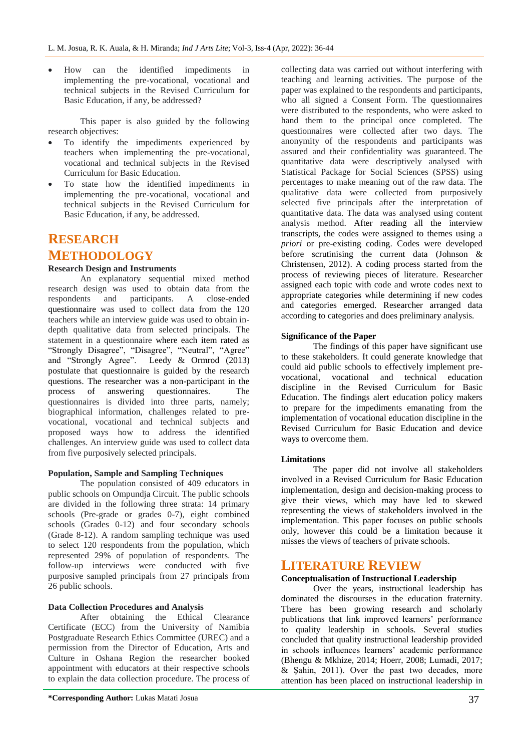How can the identified impediments in implementing the pre-vocational, vocational and technical subjects in the Revised Curriculum for Basic Education, if any, be addressed?

This paper is also guided by the following research objectives:

- To identify the impediments experienced by teachers when implementing the pre-vocational, vocational and technical subjects in the Revised Curriculum for Basic Education.
- To state how the identified impediments in implementing the pre-vocational, vocational and technical subjects in the Revised Curriculum for Basic Education, if any, be addressed.

# **RESEARCH**

## **METHODOLOGY**

#### **Research Design and Instruments**

An explanatory sequential mixed method research design was used to obtain data from the respondents and participants. A close-ended questionnaire was used to collect data from the 120 teachers while an interview guide was used to obtain indepth qualitative data from selected principals. The statement in a questionnaire where each item rated as "Strongly Disagree", "Disagree", "Neutral", "Agree" and "Strongly Agree". Leedy & Ormrod (2013) postulate that questionnaire is guided by the research questions. The researcher was a non-participant in the process of answering questionnaires. The questionnaires is divided into three parts, namely; biographical information, challenges related to prevocational, vocational and technical subjects and proposed ways how to address the identified challenges. An interview guide was used to collect data from five purposively selected principals.

#### **Population, Sample and Sampling Techniques**

The population consisted of 409 educators in public schools on Ompundja Circuit. The public schools are divided in the following three strata: 14 primary schools (Pre-grade or grades 0-7), eight combined schools (Grades 0-12) and four secondary schools (Grade 8-12). A random sampling technique was used to select 120 respondents from the population, which represented 29% of population of respondents. The follow-up interviews were conducted with five purposive sampled principals from 27 principals from 26 public schools.

#### **Data Collection Procedures and Analysis**

After obtaining the Ethical Clearance Certificate (ECC) from the University of Namibia Postgraduate Research Ethics Committee (UREC) and a permission from the Director of Education, Arts and Culture in Oshana Region the researcher booked appointment with educators at their respective schools to explain the data collection procedure. The process of

collecting data was carried out without interfering with teaching and learning activities. The purpose of the paper was explained to the respondents and participants, who all signed a Consent Form. The questionnaires were distributed to the respondents, who were asked to hand them to the principal once completed. The questionnaires were collected after two days. The anonymity of the respondents and participants was assured and their confidentiality was guaranteed. The quantitative data were descriptively analysed with Statistical Package for Social Sciences (SPSS) using percentages to make meaning out of the raw data. The qualitative data were collected from purposively selected five principals after the interpretation of quantitative data. The data was analysed using content analysis method. After reading all the interview transcripts, the codes were assigned to themes using a *priori* or pre-existing coding. Codes were developed before scrutinising the current data (Johnson & Christensen, 2012). A coding process started from the process of reviewing pieces of literature. Researcher assigned each topic with code and wrote codes next to appropriate categories while determining if new codes and categories emerged. Researcher arranged data according to categories and does preliminary analysis.

#### **Significance of the Paper**

The findings of this paper have significant use to these stakeholders. It could generate knowledge that could aid public schools to effectively implement prevocational, vocational and technical education discipline in the Revised Curriculum for Basic Education. The findings alert education policy makers to prepare for the impediments emanating from the implementation of vocational education discipline in the Revised Curriculum for Basic Education and device ways to overcome them.

#### **Limitations**

The paper did not involve all stakeholders involved in a Revised Curriculum for Basic Education implementation, design and decision-making process to give their views, which may have led to skewed representing the views of stakeholders involved in the implementation. This paper focuses on public schools only, however this could be a limitation because it misses the views of teachers of private schools.

### **LITERATURE REVIEW**

#### **Conceptualisation of Instructional Leadership**

Over the years, instructional leadership has dominated the discourses in the education fraternity. There has been growing research and scholarly publications that link improved learners' performance to quality leadership in schools. Several studies concluded that quality instructional leadership provided in schools influences learners' academic performance (Bhengu & Mkhize, 2014; Hoerr, 2008; Lumadi, 2017; & Şahin, 2011). Over the past two decades, more attention has been placed on instructional leadership in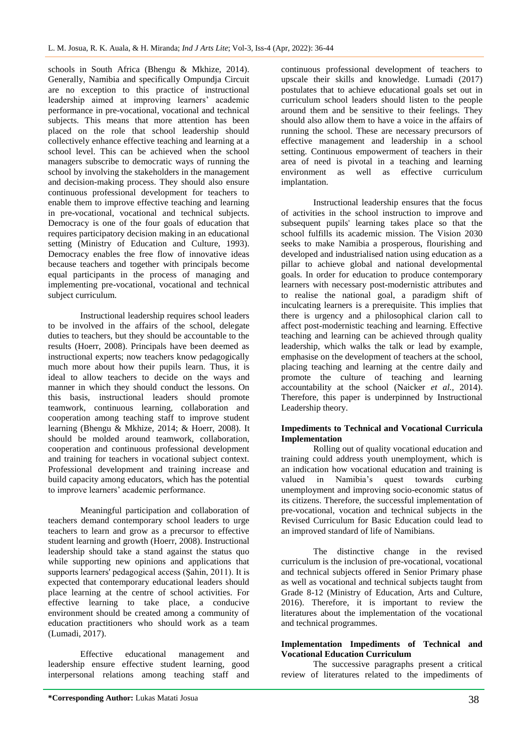schools in South Africa (Bhengu & Mkhize, 2014). Generally, Namibia and specifically Ompundja Circuit are no exception to this practice of instructional leadership aimed at improving learners' academic performance in pre-vocational, vocational and technical subjects. This means that more attention has been placed on the role that school leadership should collectively enhance effective teaching and learning at a school level. This can be achieved when the school managers subscribe to democratic ways of running the school by involving the stakeholders in the management and decision-making process. They should also ensure continuous professional development for teachers to enable them to improve effective teaching and learning in pre-vocational, vocational and technical subjects. Democracy is one of the four goals of education that requires participatory decision making in an educational setting (Ministry of Education and Culture, 1993). Democracy enables the free flow of innovative ideas because teachers and together with principals become equal participants in the process of managing and implementing pre-vocational, vocational and technical subject curriculum.

Instructional leadership requires school leaders to be involved in the affairs of the school, delegate duties to teachers, but they should be accountable to the results (Hoerr, 2008). Principals have been deemed as instructional experts; now teachers know pedagogically much more about how their pupils learn. Thus, it is ideal to allow teachers to decide on the ways and manner in which they should conduct the lessons. On this basis, instructional leaders should promote teamwork, continuous learning, collaboration and cooperation among teaching staff to improve student learning (Bhengu & Mkhize, 2014; & Hoerr, 2008). It should be molded around teamwork, collaboration, cooperation and continuous professional development and training for teachers in vocational subject context. Professional development and training increase and build capacity among educators, which has the potential to improve learners' academic performance.

Meaningful participation and collaboration of teachers demand contemporary school leaders to urge teachers to learn and grow as a precursor to effective student learning and growth (Hoerr, 2008). Instructional leadership should take a stand against the status quo while supporting new opinions and applications that supports learners' pedagogical access (Şahin, 2011). It is expected that contemporary educational leaders should place learning at the centre of school activities. For effective learning to take place, a conducive environment should be created among a community of education practitioners who should work as a team (Lumadi, 2017).

Effective educational management and leadership ensure effective student learning, good interpersonal relations among teaching staff and

continuous professional development of teachers to upscale their skills and knowledge. Lumadi (2017) postulates that to achieve educational goals set out in curriculum school leaders should listen to the people around them and be sensitive to their feelings. They should also allow them to have a voice in the affairs of running the school. These are necessary precursors of effective management and leadership in a school setting. Continuous empowerment of teachers in their area of need is pivotal in a teaching and learning environment as well as effective curriculum implantation.

Instructional leadership ensures that the focus of activities in the school instruction to improve and subsequent pupils' learning takes place so that the school fulfills its academic mission. The Vision 2030 seeks to make Namibia a prosperous, flourishing and developed and industrialised nation using education as a pillar to achieve global and national developmental goals. In order for education to produce contemporary learners with necessary post-modernistic attributes and to realise the national goal, a paradigm shift of inculcating learners is a prerequisite. This implies that there is urgency and a philosophical clarion call to affect post-modernistic teaching and learning. Effective teaching and learning can be achieved through quality leadership, which walks the talk or lead by example, emphasise on the development of teachers at the school, placing teaching and learning at the centre daily and promote the culture of teaching and learning accountability at the school (Naicker *et al.,* 2014). Therefore, this paper is underpinned by Instructional Leadership theory.

### **Impediments to Technical and Vocational Curricula Implementation**

Rolling out of quality vocational education and training could address youth unemployment, which is an indication how vocational education and training is valued in Namibia's quest towards curbing unemployment and improving socio-economic status of its citizens. Therefore, the successful implementation of pre-vocational, vocation and technical subjects in the Revised Curriculum for Basic Education could lead to an improved standard of life of Namibians.

The distinctive change in the revised curriculum is the inclusion of pre-vocational, vocational and technical subjects offered in Senior Primary phase as well as vocational and technical subjects taught from Grade 8-12 (Ministry of Education, Arts and Culture, 2016). Therefore, it is important to review the literatures about the implementation of the vocational and technical programmes.

### **Implementation Impediments of Technical and Vocational Education Curriculum**

The successive paragraphs present a critical review of literatures related to the impediments of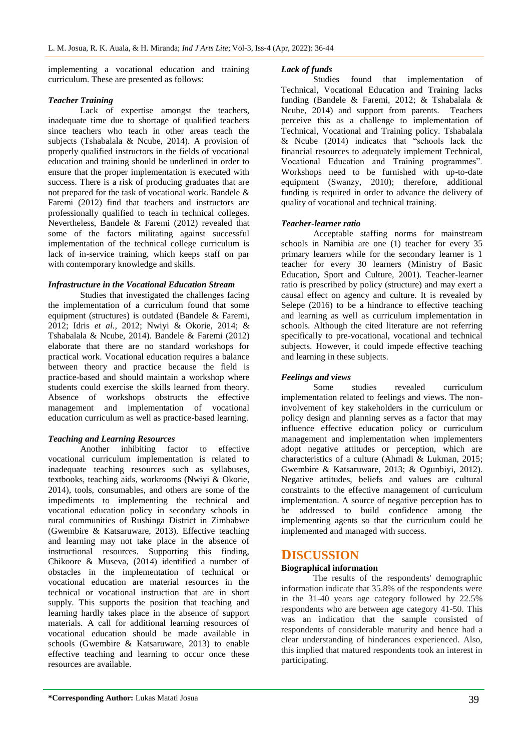implementing a vocational education and training curriculum. These are presented as follows:

#### *Teacher Training*

Lack of expertise amongst the teachers, inadequate time due to shortage of qualified teachers since teachers who teach in other areas teach the subjects (Tshabalala & Ncube, 2014). A provision of properly qualified instructors in the fields of vocational education and training should be underlined in order to ensure that the proper implementation is executed with success. There is a risk of producing graduates that are not prepared for the task of vocational work. Bandele & Faremi (2012) find that teachers and instructors are professionally qualified to teach in technical colleges. Nevertheless, Bandele & Faremi (2012) revealed that some of the factors militating against successful implementation of the technical college curriculum is lack of in-service training, which keeps staff on par with contemporary knowledge and skills.

#### *Infrastructure in the Vocational Education Stream*

Studies that investigated the challenges facing the implementation of a curriculum found that some equipment (structures) is outdated (Bandele & Faremi, 2012; Idris *et al.,* 2012; Nwiyi & Okorie, 2014; & Tshabalala & Ncube, 2014). Bandele & Faremi (2012) elaborate that there are no standard workshops for practical work. Vocational education requires a balance between theory and practice because the field is practice-based and should maintain a workshop where students could exercise the skills learned from theory. Absence of workshops obstructs the effective management and implementation of vocational education curriculum as well as practice-based learning.

### *Teaching and Learning Resources*

Another inhibiting factor to effective vocational curriculum implementation is related to inadequate teaching resources such as syllabuses, textbooks, teaching aids, workrooms (Nwiyi & Okorie, 2014), tools, consumables, and others are some of the impediments to implementing the technical and vocational education policy in secondary schools in rural communities of Rushinga District in Zimbabwe (Gwembire & Katsaruware, 2013). Effective teaching and learning may not take place in the absence of instructional resources. Supporting this finding, Chikoore & Museva, (2014) identified a number of obstacles in the implementation of technical or vocational education are material resources in the technical or vocational instruction that are in short supply. This supports the position that teaching and learning hardly takes place in the absence of support materials. A call for additional learning resources of vocational education should be made available in schools (Gwembire & Katsaruware, 2013) to enable effective teaching and learning to occur once these resources are available.

#### *Lack of funds*

Studies found that implementation of Technical, Vocational Education and Training lacks funding (Bandele & Faremi, 2012; & Tshabalala & Ncube, 2014) and support from parents. Teachers perceive this as a challenge to implementation of Technical, Vocational and Training policy. Tshabalala & Ncube (2014) indicates that "schools lack the financial resources to adequately implement Technical, Vocational Education and Training programmes". Workshops need to be furnished with up-to-date equipment (Swanzy, 2010); therefore, additional funding is required in order to advance the delivery of quality of vocational and technical training.

#### *Teacher-learner ratio*

Acceptable staffing norms for mainstream schools in Namibia are one (1) teacher for every 35 primary learners while for the secondary learner is 1 teacher for every 30 learners (Ministry of Basic Education, Sport and Culture, 2001). Teacher-learner ratio is prescribed by policy (structure) and may exert a causal effect on agency and culture. It is revealed by Selepe (2016) to be a hindrance to effective teaching and learning as well as curriculum implementation in schools. Although the cited literature are not referring specifically to pre-vocational, vocational and technical subjects. However, it could impede effective teaching and learning in these subjects.

#### *Feelings and views*

Some studies revealed curriculum implementation related to feelings and views. The noninvolvement of key stakeholders in the curriculum or policy design and planning serves as a factor that may influence effective education policy or curriculum management and implementation when implementers adopt negative attitudes or perception, which are characteristics of a culture (Ahmadi & Lukman, 2015; Gwembire & Katsaruware, 2013; & Ogunbiyi, 2012). Negative attitudes, beliefs and values are cultural constraints to the effective management of curriculum implementation. A source of negative perception has to be addressed to build confidence among the implementing agents so that the curriculum could be implemented and managed with success.

## **DISCUSSION**

### **Biographical information**

The results of the respondents' demographic information indicate that 35.8% of the respondents were in the 31-40 years age category followed by 22.5% respondents who are between age category 41-50. This was an indication that the sample consisted of respondents of considerable maturity and hence had a clear understanding of hinderances experienced. Also, this implied that matured respondents took an interest in participating.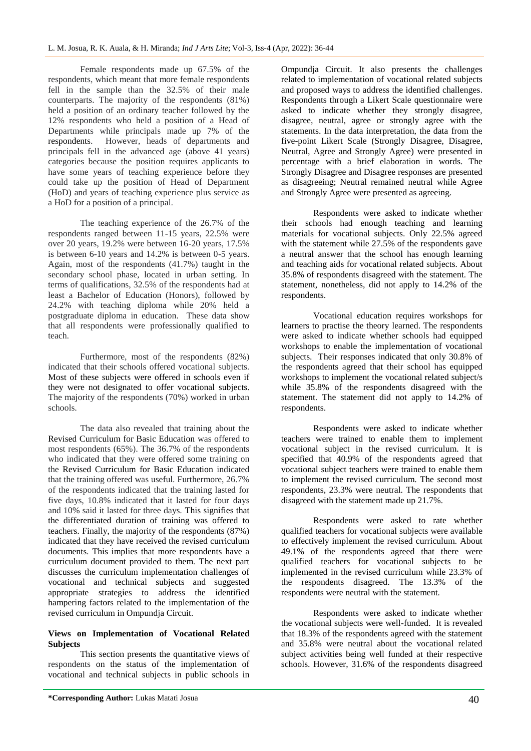Female respondents made up 67.5% of the respondents, which meant that more female respondents fell in the sample than the 32.5% of their male counterparts. The majority of the respondents (81%) held a position of an ordinary teacher followed by the 12% respondents who held a position of a Head of Departments while principals made up 7% of the respondents. However, heads of departments and principals fell in the advanced age (above 41 years) categories because the position requires applicants to have some years of teaching experience before they could take up the position of Head of Department (HoD) and years of teaching experience plus service as a HoD for a position of a principal.

The teaching experience of the 26.7% of the respondents ranged between 11-15 years, 22.5% were over 20 years, 19.2% were between 16-20 years, 17.5% is between 6-10 years and 14.2% is between 0-5 years. Again, most of the respondents (41.7%) taught in the secondary school phase, located in urban setting. In terms of qualifications, 32.5% of the respondents had at least a Bachelor of Education (Honors), followed by 24.2% with teaching diploma while 20% held a postgraduate diploma in education. These data show that all respondents were professionally qualified to teach.

Furthermore, most of the respondents (82%) indicated that their schools offered vocational subjects. Most of these subjects were offered in schools even if they were not designated to offer vocational subjects. The majority of the respondents (70%) worked in urban schools.

The data also revealed that training about the Revised Curriculum for Basic Education was offered to most respondents (65%). The 36.7% of the respondents who indicated that they were offered some training on the Revised Curriculum for Basic Education indicated that the training offered was useful. Furthermore, 26.7% of the respondents indicated that the training lasted for five days, 10.8% indicated that it lasted for four days and 10% said it lasted for three days. This signifies that the differentiated duration of training was offered to teachers. Finally, the majority of the respondents (87%) indicated that they have received the revised curriculum documents. This implies that more respondents have a curriculum document provided to them. The next part discusses the curriculum implementation challenges of vocational and technical subjects and suggested appropriate strategies to address the identified hampering factors related to the implementation of the revised curriculum in Ompundja Circuit.

#### **Views on Implementation of Vocational Related Subjects**

This section presents the quantitative views of respondents on the status of the implementation of vocational and technical subjects in public schools in Ompundja Circuit. It also presents the challenges related to implementation of vocational related subjects and proposed ways to address the identified challenges. Respondents through a Likert Scale questionnaire were asked to indicate whether they strongly disagree, disagree, neutral, agree or strongly agree with the statements. In the data interpretation, the data from the five-point Likert Scale (Strongly Disagree, Disagree, Neutral, Agree and Strongly Agree) were presented in percentage with a brief elaboration in words. The Strongly Disagree and Disagree responses are presented as disagreeing; Neutral remained neutral while Agree and Strongly Agree were presented as agreeing.

Respondents were asked to indicate whether their schools had enough teaching and learning materials for vocational subjects. Only 22.5% agreed with the statement while 27.5% of the respondents gave a neutral answer that the school has enough learning and teaching aids for vocational related subjects. About 35.8% of respondents disagreed with the statement. The statement, nonetheless, did not apply to 14.2% of the respondents.

Vocational education requires workshops for learners to practise the theory learned. The respondents were asked to indicate whether schools had equipped workshops to enable the implementation of vocational subjects. Their responses indicated that only 30.8% of the respondents agreed that their school has equipped workshops to implement the vocational related subject/s while 35.8% of the respondents disagreed with the statement. The statement did not apply to 14.2% of respondents.

Respondents were asked to indicate whether teachers were trained to enable them to implement vocational subject in the revised curriculum. It is specified that 40.9% of the respondents agreed that vocational subject teachers were trained to enable them to implement the revised curriculum. The second most respondents, 23.3% were neutral. The respondents that disagreed with the statement made up 21.7%.

Respondents were asked to rate whether qualified teachers for vocational subjects were available to effectively implement the revised curriculum. About 49.1% of the respondents agreed that there were qualified teachers for vocational subjects to be implemented in the revised curriculum while 23.3% of the respondents disagreed. The 13.3% of the respondents were neutral with the statement.

Respondents were asked to indicate whether the vocational subjects were well-funded. It is revealed that 18.3% of the respondents agreed with the statement and 35.8% were neutral about the vocational related subject activities being well funded at their respective schools. However, 31.6% of the respondents disagreed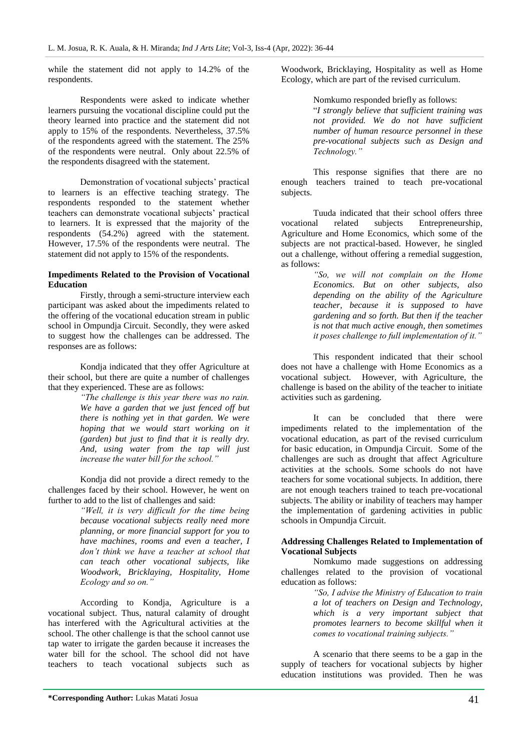while the statement did not apply to 14.2% of the respondents.

Respondents were asked to indicate whether learners pursuing the vocational discipline could put the theory learned into practice and the statement did not apply to 15% of the respondents. Nevertheless, 37.5% of the respondents agreed with the statement. The 25% of the respondents were neutral. Only about 22.5% of the respondents disagreed with the statement.

Demonstration of vocational subjects' practical to learners is an effective teaching strategy. The respondents responded to the statement whether teachers can demonstrate vocational subjects' practical to learners. It is expressed that the majority of the respondents (54.2%) agreed with the statement. However, 17.5% of the respondents were neutral. The statement did not apply to 15% of the respondents.

#### **Impediments Related to the Provision of Vocational Education**

Firstly, through a semi-structure interview each participant was asked about the impediments related to the offering of the vocational education stream in public school in Ompundja Circuit. Secondly, they were asked to suggest how the challenges can be addressed. The responses are as follows:

Kondja indicated that they offer Agriculture at their school, but there are quite a number of challenges that they experienced. These are as follows:

*"The challenge is this year there was no rain. We have a garden that we just fenced off but there is nothing yet in that garden. We were hoping that we would start working on it (garden) but just to find that it is really dry. And, using water from the tap will just increase the water bill for the school."* 

Kondja did not provide a direct remedy to the challenges faced by their school. However, he went on further to add to the list of challenges and said:

> *"Well, it is very difficult for the time being because vocational subjects really need more planning, or more financial support for you to have machines, rooms and even a teacher, I don't think we have a teacher at school that can teach other vocational subjects, like Woodwork, Bricklaying, Hospitality, Home Ecology and so on."*

According to Kondja, Agriculture is a vocational subject. Thus, natural calamity of drought has interfered with the Agricultural activities at the school. The other challenge is that the school cannot use tap water to irrigate the garden because it increases the water bill for the school. The school did not have teachers to teach vocational subjects such as

Woodwork, Bricklaying, Hospitality as well as Home Ecology, which are part of the revised curriculum.

Nomkumo responded briefly as follows:

"*I strongly believe that sufficient training was not provided. We do not have sufficient number of human resource personnel in these pre-vocational subjects such as Design and Technology."*

This response signifies that there are no enough teachers trained to teach pre-vocational subjects.

Tuuda indicated that their school offers three vocational related subjects Entrepreneurship, Agriculture and Home Economics, which some of the subjects are not practical-based. However, he singled out a challenge, without offering a remedial suggestion, as follows:

*"So, we will not complain on the Home Economics. But on other subjects, also depending on the ability of the Agriculture teacher, because it is supposed to have gardening and so forth. But then if the teacher is not that much active enough, then sometimes it poses challenge to full implementation of it."*

This respondent indicated that their school does not have a challenge with Home Economics as a vocational subject. However, with Agriculture, the challenge is based on the ability of the teacher to initiate activities such as gardening.

It can be concluded that there were impediments related to the implementation of the vocational education, as part of the revised curriculum for basic education, in Ompundja Circuit. Some of the challenges are such as drought that affect Agriculture activities at the schools. Some schools do not have teachers for some vocational subjects. In addition, there are not enough teachers trained to teach pre-vocational subjects. The ability or inability of teachers may hamper the implementation of gardening activities in public schools in Ompundja Circuit.

#### **Addressing Challenges Related to Implementation of Vocational Subjects**

Nomkumo made suggestions on addressing challenges related to the provision of vocational education as follows:

> *"So, I advise the Ministry of Education to train a lot of teachers on Design and Technology, which is a very important subject that promotes learners to become skillful when it comes to vocational training subjects."*

A scenario that there seems to be a gap in the supply of teachers for vocational subjects by higher education institutions was provided. Then he was

**<sup>\*</sup>Corresponding Author:** Lukas Matati Josua 41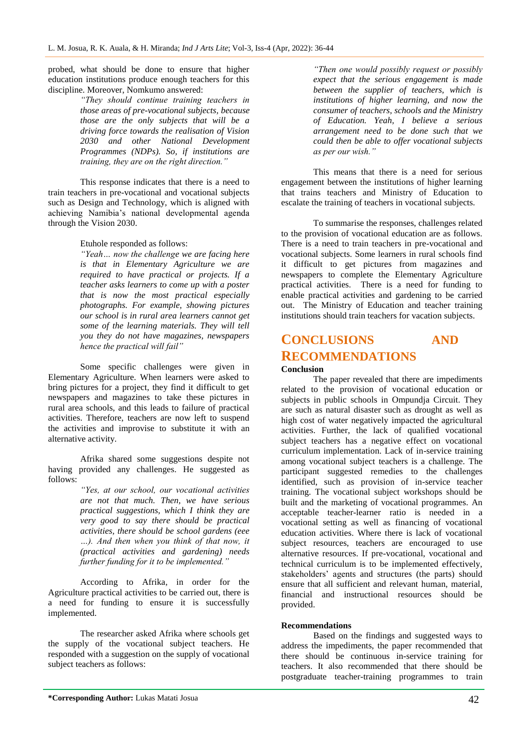probed, what should be done to ensure that higher education institutions produce enough teachers for this discipline. Moreover, Nomkumo answered:

*"They should continue training teachers in those areas of pre-vocational subjects, because those are the only subjects that will be a driving force towards the realisation of Vision 2030 and other National Development Programmes (NDPs). So, if institutions are training, they are on the right direction."*

This response indicates that there is a need to train teachers in pre-vocational and vocational subjects such as Design and Technology, which is aligned with achieving Namibia's national developmental agenda through the Vision 2030.

Etuhole responded as follows:

*"Yeah… now the challenge we are facing here is that in Elementary Agriculture we are required to have practical or projects. If a teacher asks learners to come up with a poster that is now the most practical especially photographs. For example, showing pictures our school is in rural area learners cannot get some of the learning materials. They will tell you they do not have magazines, newspapers hence the practical will fail"*

Some specific challenges were given in Elementary Agriculture. When learners were asked to bring pictures for a project, they find it difficult to get newspapers and magazines to take these pictures in rural area schools, and this leads to failure of practical activities. Therefore, teachers are now left to suspend the activities and improvise to substitute it with an alternative activity.

Afrika shared some suggestions despite not having provided any challenges. He suggested as follows:

*"Yes, at our school, our vocational activities are not that much. Then, we have serious practical suggestions, which I think they are very good to say there should be practical activities, there should be school gardens (eee …). And then when you think of that now, it (practical activities and gardening) needs further funding for it to be implemented."*

According to Afrika, in order for the Agriculture practical activities to be carried out, there is a need for funding to ensure it is successfully implemented.

The researcher asked Afrika where schools get the supply of the vocational subject teachers. He responded with a suggestion on the supply of vocational subject teachers as follows:

*"Then one would possibly request or possibly expect that the serious engagement is made between the supplier of teachers, which is institutions of higher learning, and now the consumer of teachers, schools and the Ministry of Education. Yeah, I believe a serious arrangement need to be done such that we could then be able to offer vocational subjects as per our wish."*

This means that there is a need for serious engagement between the institutions of higher learning that trains teachers and Ministry of Education to escalate the training of teachers in vocational subjects.

To summarise the responses, challenges related to the provision of vocational education are as follows. There is a need to train teachers in pre-vocational and vocational subjects. Some learners in rural schools find it difficult to get pictures from magazines and newspapers to complete the Elementary Agriculture practical activities. There is a need for funding to enable practical activities and gardening to be carried out. The Ministry of Education and teacher training institutions should train teachers for vacation subjects.

# **CONCLUSIONS AND RECOMMENDATIONS**

#### **Conclusion**

The paper revealed that there are impediments related to the provision of vocational education or subjects in public schools in Ompundja Circuit. They are such as natural disaster such as drought as well as high cost of water negatively impacted the agricultural activities. Further, the lack of qualified vocational subject teachers has a negative effect on vocational curriculum implementation. Lack of in-service training among vocational subject teachers is a challenge. The participant suggested remedies to the challenges identified, such as provision of in-service teacher training. The vocational subject workshops should be built and the marketing of vocational programmes. An acceptable teacher-learner ratio is needed in a vocational setting as well as financing of vocational education activities. Where there is lack of vocational subject resources, teachers are encouraged to use alternative resources. If pre-vocational, vocational and technical curriculum is to be implemented effectively, stakeholders' agents and structures (the parts) should ensure that all sufficient and relevant human, material, financial and instructional resources should be provided.

#### **Recommendations**

Based on the findings and suggested ways to address the impediments, the paper recommended that there should be continuous in-service training for teachers. It also recommended that there should be postgraduate teacher-training programmes to train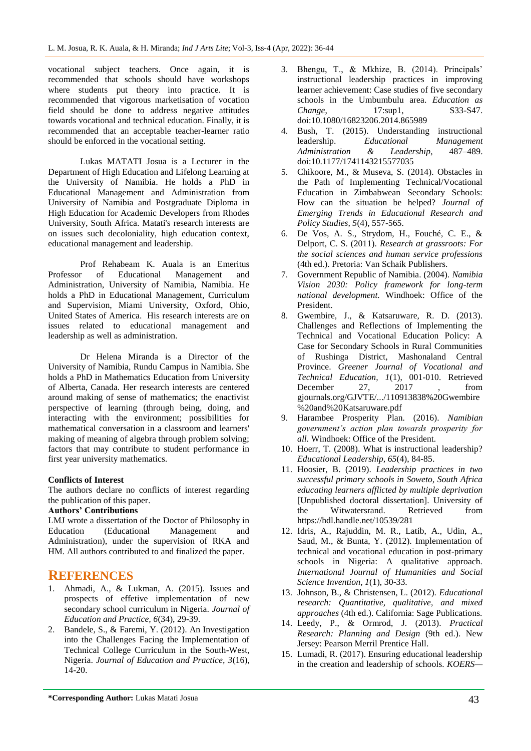vocational subject teachers. Once again, it is recommended that schools should have workshops where students put theory into practice. It is recommended that vigorous marketisation of vocation field should be done to address negative attitudes towards vocational and technical education. Finally, it is recommended that an acceptable teacher-learner ratio should be enforced in the vocational setting.

Lukas MATATI Josua is a Lecturer in the Department of High Education and Lifelong Learning at the University of Namibia. He holds a PhD in Educational Management and Administration from University of Namibia and Postgraduate Diploma in High Education for Academic Developers from Rhodes University, South Africa. Matati's research interests are on issues such decoloniality, high education context, educational management and leadership.

Prof Rehabeam K. Auala is an Emeritus Professor of Educational Management and Administration, University of Namibia, Namibia. He holds a PhD in Educational Management, Curriculum and Supervision, Miami University, Oxford, Ohio, United States of America. His research interests are on issues related to educational management and leadership as well as administration.

Dr Helena Miranda is a Director of the University of Namibia, Rundu Campus in Namibia. She holds a PhD in Mathematics Education from University of Alberta, Canada. Her research interests are centered around making of sense of mathematics; the enactivist perspective of learning (through being, doing, and interacting with the environment; possibilities for mathematical conversation in a classroom and learners' making of meaning of algebra through problem solving; factors that may contribute to student performance in first year university mathematics.

### **Conflicts of Interest**

The authors declare no conflicts of interest regarding the publication of this paper.

#### **Authors' Contributions**

LMJ wrote a dissertation of the Doctor of Philosophy in Education (Educational Management and Administration), under the supervision of RKA and HM. All authors contributed to and finalized the paper.

## **REFERENCES**

- 1. Ahmadi, A., & Lukman, A. (2015). Issues and prospects of effetive implementation of new secondary school curriculum in Nigeria. *Journal of Education and Practice, 6*(34), 29-39.
- 2. Bandele, S., & Faremi, Y. (2012). An Investigation into the Challenges Facing the Implementation of Technical College Curriculum in the South-West, Nigeria. *Journal of Education and Practice, 3*(16), 14-20.
- 3. Bhengu, T., & Mkhize, B. (2014). Principals' instructional leadership practices in improving learner achievement: Case studies of five secondary schools in the Umbumbulu area. *Education as Change*, 17:sup1, S33-S47. doi:10.1080/16823206.2014.865989
- 4. Bush, T. (2015). Understanding instructional leadership. *Educational Management Administration & Leadership*, doi:10.1177/1741143215577035
- 5. Chikoore, M., & Museva, S. (2014). Obstacles in the Path of Implementing Technical/Vocational Education in Zimbabwean Secondary Schools: How can the situation be helped? *Journal of Emerging Trends in Educational Research and Policy Studies, 5*(4), 557-565.
- 6. De Vos, A. S., Strydom, H., Fouché, C. E., & Delport, C. S. (2011). *Research at grassroots: For the social sciences and human service professions* (4th ed.). Pretoria: Van Schaik Publishers.
- 7. Government Republic of Namibia. (2004). *Namibia Vision 2030: Policy framework for long-term national development.* Windhoek: Office of the President.
- 8. Gwembire, J., & Katsaruware, R. D. (2013). Challenges and Reflections of Implementing the Technical and Vocational Education Policy: A Case for Secondary Schools in Rural Communities of Rushinga District, Mashonaland Central Province. *Greener Journal of Vocational and Technical Education, 1*(1), 001-010. Retrieved December 27, 2017 , from gjournals.org/GJVTE/.../110913838%20Gwembire %20and%20Katsaruware.pdf
- 9. Harambee Prosperity Plan. (2016). *Namibian government's action plan towards prosperity for all.* Windhoek: Office of the President.
- 10. Hoerr, T. (2008). What is instructional leadership? *Educational Leadership, 65*(4), 84-85.
- 11. Hoosier, B. (2019). *Leadership practices in two successful primary schools in Soweto, South Africa educating learners afflicted by multiple deprivation* [Unpublished doctoral dissertation]. University of the Witwatersrand. Retrieved from https://hdl.handle.net/10539/281
- 12. Idris, A., Rajuddin, M. R., Latib, A., Udin, A., Saud, M., & Bunta, Y. (2012). Implementation of technical and vocational education in post-primary schools in Nigeria: A qualitative approach. *International Journal of Humanities and Social Science Invention, 1*(1), 30-33.
- 13. Johnson, B., & Christensen, L. (2012). *Educational research: Quantitative, qualitative, and mixed approaches* (4th ed.). California: Sage Publications.
- 14. Leedy, P., & Ormrod, J. (2013). *Practical Research: Planning and Design* (9th ed.). New Jersey: Pearson Merril Prentice Hall.
- 15. Lumadi, R. (2017). Ensuring educational leadership in the creation and leadership of schools. *KOERS—*